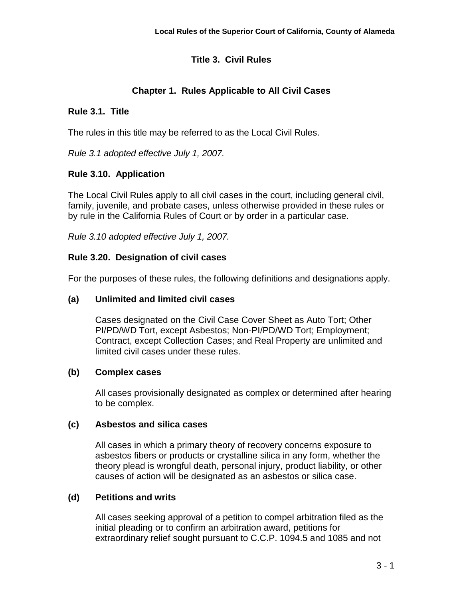# **Title 3. Civil Rules**

# **Chapter 1. Rules Applicable to All Civil Cases**

## **Rule 3.1. Title**

The rules in this title may be referred to as the Local Civil Rules.

*Rule 3.1 adopted effective July 1, 2007.*

## **Rule 3.10. Application**

The Local Civil Rules apply to all civil cases in the court, including general civil, family, juvenile, and probate cases, unless otherwise provided in these rules or by rule in the California Rules of Court or by order in a particular case.

*Rule 3.10 adopted effective July 1, 2007.*

## **Rule 3.20. Designation of civil cases**

For the purposes of these rules, the following definitions and designations apply.

## **(a) Unlimited and limited civil cases**

Cases designated on the Civil Case Cover Sheet as Auto Tort; Other PI/PD/WD Tort, except Asbestos; Non-PI/PD/WD Tort; Employment; Contract, except Collection Cases; and Real Property are unlimited and limited civil cases under these rules.

### **(b) Complex cases**

All cases provisionally designated as complex or determined after hearing to be complex.

### **(c) Asbestos and silica cases**

All cases in which a primary theory of recovery concerns exposure to asbestos fibers or products or crystalline silica in any form, whether the theory plead is wrongful death, personal injury, product liability, or other causes of action will be designated as an asbestos or silica case.

### **(d) Petitions and writs**

All cases seeking approval of a petition to compel arbitration filed as the initial pleading or to confirm an arbitration award, petitions for extraordinary relief sought pursuant to C.C.P. 1094.5 and 1085 and not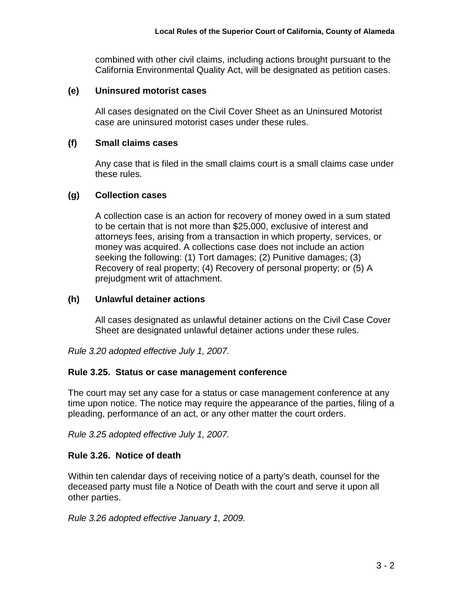combined with other civil claims, including actions brought pursuant to the California Environmental Quality Act, will be designated as petition cases.

#### **(e) Uninsured motorist cases**

All cases designated on the Civil Cover Sheet as an Uninsured Motorist case are uninsured motorist cases under these rules.

#### **(f) Small claims cases**

Any case that is filed in the small claims court is a small claims case under these rules.

#### **(g) Collection cases**

A collection case is an action for recovery of money owed in a sum stated to be certain that is not more than \$25,000, exclusive of interest and attorneys fees, arising from a transaction in which property, services, or money was acquired. A collections case does not include an action seeking the following: (1) Tort damages; (2) Punitive damages; (3) Recovery of real property; (4) Recovery of personal property; or (5) A prejudgment writ of attachment.

#### **(h) Unlawful detainer actions**

All cases designated as unlawful detainer actions on the Civil Case Cover Sheet are designated unlawful detainer actions under these rules.

*Rule 3.20 adopted effective July 1, 2007.*

#### **Rule 3.25. Status or case management conference**

The court may set any case for a status or case management conference at any time upon notice. The notice may require the appearance of the parties, filing of a pleading, performance of an act, or any other matter the court orders.

*Rule 3.25 adopted effective July 1, 2007.*

### **Rule 3.26. Notice of death**

Within ten calendar days of receiving notice of a party's death, counsel for the deceased party must file a Notice of Death with the court and serve it upon all other parties.

*Rule 3.26 adopted effective January 1, 2009.*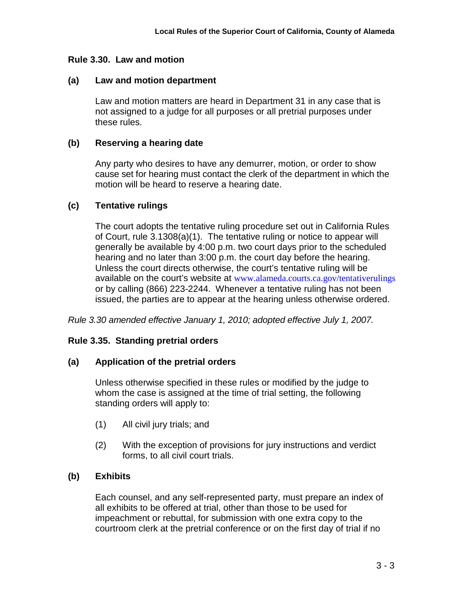### **Rule 3.30. Law and motion**

#### **(a) Law and motion department**

Law and motion matters are heard in Department 31 in any case that is not assigned to a judge for all purposes or all pretrial purposes under these rules.

#### **(b) Reserving a hearing date**

Any party who desires to have any demurrer, motion, or order to show cause set for hearing must contact the clerk of the department in which the motion will be heard to reserve a hearing date.

### **(c) Tentative rulings**

The court adopts the tentative ruling procedure set out in California Rules of Court, rule 3.1308(a)(1). The tentative ruling or notice to appear will generally be available by 4:00 p.m. two court days prior to the scheduled hearing and no later than 3:00 p.m. the court day before the hearing. Unless the court directs otherwise, the court's tentative ruling will be available on the court's website at www.alameda.courts.ca.gov/tentativerulings or by calling (866) 223-2244. Whenever a tentative ruling has not been issued, the parties are to appear at the hearing unless otherwise ordered.

*Rule 3.30 amended effective January 1, 2010; adopted effective July 1, 2007.*

### **Rule 3.35. Standing pretrial orders**

### **(a) Application of the pretrial orders**

Unless otherwise specified in these rules or modified by the judge to whom the case is assigned at the time of trial setting, the following standing orders will apply to:

- (1) All civil jury trials; and
- (2) With the exception of provisions for jury instructions and verdict forms, to all civil court trials.

### **(b) Exhibits**

Each counsel, and any self-represented party, must prepare an index of all exhibits to be offered at trial, other than those to be used for impeachment or rebuttal, for submission with one extra copy to the courtroom clerk at the pretrial conference or on the first day of trial if no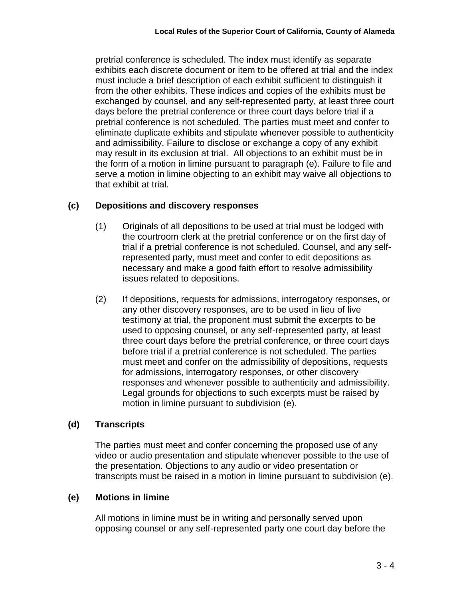pretrial conference is scheduled. The index must identify as separate exhibits each discrete document or item to be offered at trial and the index must include a brief description of each exhibit sufficient to distinguish it from the other exhibits. These indices and copies of the exhibits must be exchanged by counsel, and any self-represented party, at least three court days before the pretrial conference or three court days before trial if a pretrial conference is not scheduled. The parties must meet and confer to eliminate duplicate exhibits and stipulate whenever possible to authenticity and admissibility. Failure to disclose or exchange a copy of any exhibit may result in its exclusion at trial. All objections to an exhibit must be in the form of a motion in limine pursuant to paragraph (e). Failure to file and serve a motion in limine objecting to an exhibit may waive all objections to that exhibit at trial.

## **(c) Depositions and discovery responses**

- (1) Originals of all depositions to be used at trial must be lodged with the courtroom clerk at the pretrial conference or on the first day of trial if a pretrial conference is not scheduled. Counsel, and any selfrepresented party, must meet and confer to edit depositions as necessary and make a good faith effort to resolve admissibility issues related to depositions.
- (2) If depositions, requests for admissions, interrogatory responses, or any other discovery responses, are to be used in lieu of live testimony at trial, the proponent must submit the excerpts to be used to opposing counsel, or any self-represented party, at least three court days before the pretrial conference, or three court days before trial if a pretrial conference is not scheduled. The parties must meet and confer on the admissibility of depositions, requests for admissions, interrogatory responses, or other discovery responses and whenever possible to authenticity and admissibility. Legal grounds for objections to such excerpts must be raised by motion in limine pursuant to subdivision (e).

### **(d) Transcripts**

The parties must meet and confer concerning the proposed use of any video or audio presentation and stipulate whenever possible to the use of the presentation. Objections to any audio or video presentation or transcripts must be raised in a motion in limine pursuant to subdivision (e).

### **(e) Motions in limine**

All motions in limine must be in writing and personally served upon opposing counsel or any self-represented party one court day before the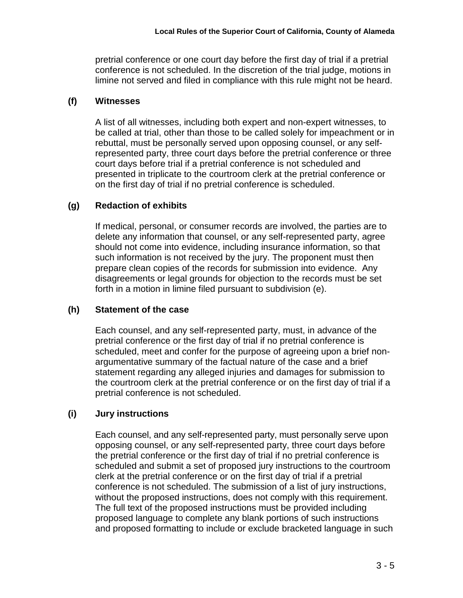pretrial conference or one court day before the first day of trial if a pretrial conference is not scheduled. In the discretion of the trial judge, motions in limine not served and filed in compliance with this rule might not be heard.

## **(f) Witnesses**

A list of all witnesses, including both expert and non-expert witnesses, to be called at trial, other than those to be called solely for impeachment or in rebuttal, must be personally served upon opposing counsel, or any selfrepresented party, three court days before the pretrial conference or three court days before trial if a pretrial conference is not scheduled and presented in triplicate to the courtroom clerk at the pretrial conference or on the first day of trial if no pretrial conference is scheduled.

# **(g) Redaction of exhibits**

If medical, personal, or consumer records are involved, the parties are to delete any information that counsel, or any self-represented party, agree should not come into evidence, including insurance information, so that such information is not received by the jury. The proponent must then prepare clean copies of the records for submission into evidence. Any disagreements or legal grounds for objection to the records must be set forth in a motion in limine filed pursuant to subdivision (e).

### **(h) Statement of the case**

Each counsel, and any self-represented party, must, in advance of the pretrial conference or the first day of trial if no pretrial conference is scheduled, meet and confer for the purpose of agreeing upon a brief nonargumentative summary of the factual nature of the case and a brief statement regarding any alleged injuries and damages for submission to the courtroom clerk at the pretrial conference or on the first day of trial if a pretrial conference is not scheduled.

# **(i) Jury instructions**

Each counsel, and any self-represented party, must personally serve upon opposing counsel, or any self-represented party, three court days before the pretrial conference or the first day of trial if no pretrial conference is scheduled and submit a set of proposed jury instructions to the courtroom clerk at the pretrial conference or on the first day of trial if a pretrial conference is not scheduled. The submission of a list of jury instructions, without the proposed instructions, does not comply with this requirement. The full text of the proposed instructions must be provided including proposed language to complete any blank portions of such instructions and proposed formatting to include or exclude bracketed language in such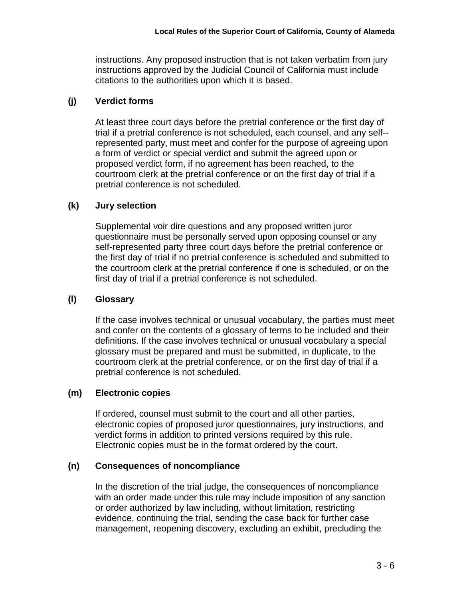instructions. Any proposed instruction that is not taken verbatim from jury instructions approved by the Judicial Council of California must include citations to the authorities upon which it is based.

# **(j) Verdict forms**

At least three court days before the pretrial conference or the first day of trial if a pretrial conference is not scheduled, each counsel, and any self- represented party, must meet and confer for the purpose of agreeing upon a form of verdict or special verdict and submit the agreed upon or proposed verdict form, if no agreement has been reached, to the courtroom clerk at the pretrial conference or on the first day of trial if a pretrial conference is not scheduled.

# **(k) Jury selection**

Supplemental voir dire questions and any proposed written juror questionnaire must be personally served upon opposing counsel or any self-represented party three court days before the pretrial conference or the first day of trial if no pretrial conference is scheduled and submitted to the courtroom clerk at the pretrial conference if one is scheduled, or on the first day of trial if a pretrial conference is not scheduled.

# **(l) Glossary**

If the case involves technical or unusual vocabulary, the parties must meet and confer on the contents of a glossary of terms to be included and their definitions. If the case involves technical or unusual vocabulary a special glossary must be prepared and must be submitted, in duplicate, to the courtroom clerk at the pretrial conference, or on the first day of trial if a pretrial conference is not scheduled.

# **(m) Electronic copies**

If ordered, counsel must submit to the court and all other parties, electronic copies of proposed juror questionnaires, jury instructions, and verdict forms in addition to printed versions required by this rule. Electronic copies must be in the format ordered by the court.

# **(n) Consequences of noncompliance**

In the discretion of the trial judge, the consequences of noncompliance with an order made under this rule may include imposition of any sanction or order authorized by law including, without limitation, restricting evidence, continuing the trial, sending the case back for further case management, reopening discovery, excluding an exhibit, precluding the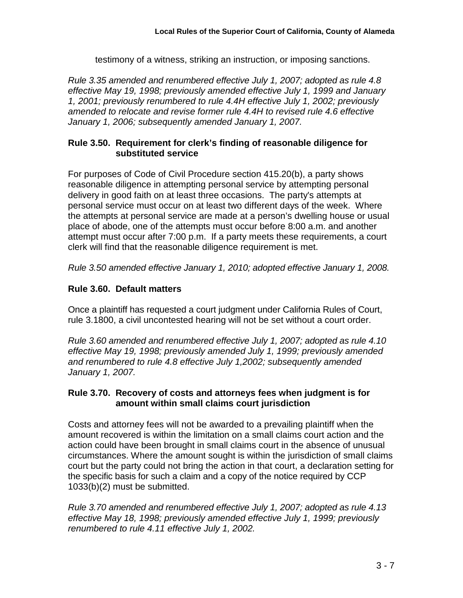testimony of a witness, striking an instruction, or imposing sanctions.

*Rule 3.35 amended and renumbered effective July 1, 2007; adopted as rule 4.8 effective May 19, 1998; previously amended effective July 1, 1999 and January 1, 2001; previously renumbered to rule 4.4H effective July 1, 2002; previously amended to relocate and revise former rule 4.4H to revised rule 4.6 effective January 1, 2006; subsequently amended January 1, 2007.*

# **Rule 3.50. Requirement for clerk's finding of reasonable diligence for substituted service**

For purposes of Code of Civil Procedure section 415.20(b), a party shows reasonable diligence in attempting personal service by attempting personal delivery in good faith on at least three occasions. The party's attempts at personal service must occur on at least two different days of the week. Where the attempts at personal service are made at a person's dwelling house or usual place of abode, one of the attempts must occur before 8:00 a.m. and another attempt must occur after 7:00 p.m. If a party meets these requirements, a court clerk will find that the reasonable diligence requirement is met.

*Rule 3.50 amended effective January 1, 2010; adopted effective January 1, 2008.*

# **Rule 3.60. Default matters**

Once a plaintiff has requested a court judgment under California Rules of Court, rule 3.1800, a civil uncontested hearing will not be set without a court order.

*Rule 3.60 amended and renumbered effective July 1, 2007; adopted as rule 4.10 effective May 19, 1998; previously amended July 1, 1999; previously amended and renumbered to rule 4.8 effective July 1,2002; subsequently amended January 1, 2007.*

# **Rule 3.70. Recovery of costs and attorneys fees when judgment is for amount within small claims court jurisdiction**

Costs and attorney fees will not be awarded to a prevailing plaintiff when the amount recovered is within the limitation on a small claims court action and the action could have been brought in small claims court in the absence of unusual circumstances. Where the amount sought is within the jurisdiction of small claims court but the party could not bring the action in that court, a declaration setting for the specific basis for such a claim and a copy of the notice required by CCP 1033(b)(2) must be submitted.

*Rule 3.70 amended and renumbered effective July 1, 2007; adopted as rule 4.13 effective May 18, 1998; previously amended effective July 1, 1999; previously renumbered to rule 4.11 effective July 1, 2002.*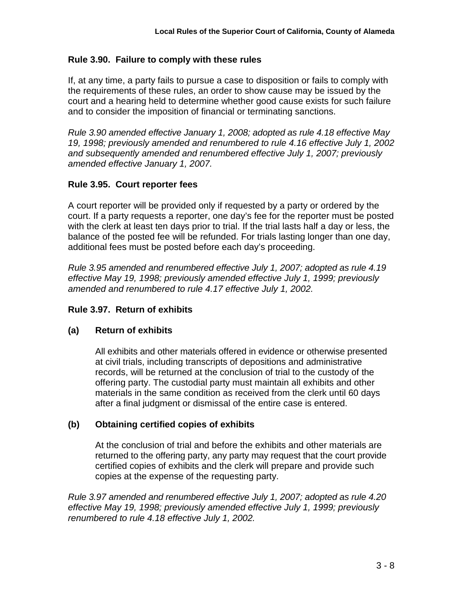## **Rule 3.90. Failure to comply with these rules**

If, at any time, a party fails to pursue a case to disposition or fails to comply with the requirements of these rules, an order to show cause may be issued by the court and a hearing held to determine whether good cause exists for such failure and to consider the imposition of financial or terminating sanctions.

*Rule 3.90 amended effective January 1, 2008; adopted as rule 4.18 effective May 19, 1998; previously amended and renumbered to rule 4.16 effective July 1, 2002 and subsequently amended and renumbered effective July 1, 2007; previously amended effective January 1, 2007.*

## **Rule 3.95. Court reporter fees**

A court reporter will be provided only if requested by a party or ordered by the court. If a party requests a reporter, one day's fee for the reporter must be posted with the clerk at least ten days prior to trial. If the trial lasts half a day or less, the balance of the posted fee will be refunded. For trials lasting longer than one day, additional fees must be posted before each day's proceeding.

*Rule 3.95 amended and renumbered effective July 1, 2007; adopted as rule 4.19 effective May 19, 1998; previously amended effective July 1, 1999; previously amended and renumbered to rule 4.17 effective July 1, 2002.*

### **Rule 3.97. Return of exhibits**

### **(a) Return of exhibits**

All exhibits and other materials offered in evidence or otherwise presented at civil trials, including transcripts of depositions and administrative records, will be returned at the conclusion of trial to the custody of the offering party. The custodial party must maintain all exhibits and other materials in the same condition as received from the clerk until 60 days after a final judgment or dismissal of the entire case is entered.

### **(b) Obtaining certified copies of exhibits**

At the conclusion of trial and before the exhibits and other materials are returned to the offering party, any party may request that the court provide certified copies of exhibits and the clerk will prepare and provide such copies at the expense of the requesting party.

*Rule 3.97 amended and renumbered effective July 1, 2007; adopted as rule 4.20 effective May 19, 1998; previously amended effective July 1, 1999; previously renumbered to rule 4.18 effective July 1, 2002.*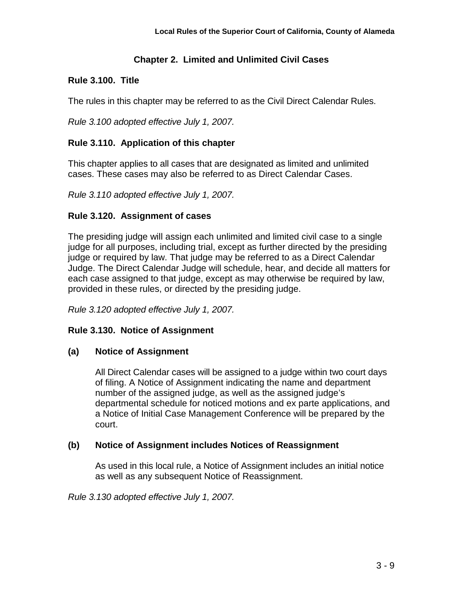# **Chapter 2. Limited and Unlimited Civil Cases**

# **Rule 3.100. Title**

The rules in this chapter may be referred to as the Civil Direct Calendar Rules.

*Rule 3.100 adopted effective July 1, 2007.*

# **Rule 3.110. Application of this chapter**

This chapter applies to all cases that are designated as limited and unlimited cases. These cases may also be referred to as Direct Calendar Cases.

*Rule 3.110 adopted effective July 1, 2007.*

# **Rule 3.120. Assignment of cases**

The presiding judge will assign each unlimited and limited civil case to a single judge for all purposes, including trial, except as further directed by the presiding judge or required by law. That judge may be referred to as a Direct Calendar Judge. The Direct Calendar Judge will schedule, hear, and decide all matters for each case assigned to that judge, except as may otherwise be required by law, provided in these rules, or directed by the presiding judge.

*Rule 3.120 adopted effective July 1, 2007.*

# **Rule 3.130. Notice of Assignment**

# **(a) Notice of Assignment**

All Direct Calendar cases will be assigned to a judge within two court days of filing. A Notice of Assignment indicating the name and department number of the assigned judge, as well as the assigned judge's departmental schedule for noticed motions and ex parte applications, and a Notice of Initial Case Management Conference will be prepared by the court.

# **(b) Notice of Assignment includes Notices of Reassignment**

As used in this local rule, a Notice of Assignment includes an initial notice as well as any subsequent Notice of Reassignment.

*Rule 3.130 adopted effective July 1, 2007.*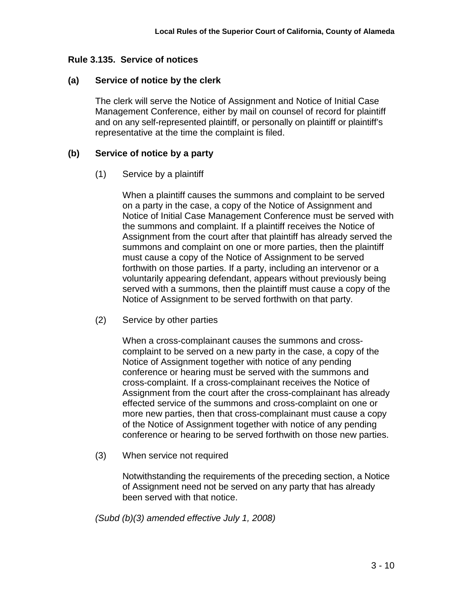### **Rule 3.135. Service of notices**

#### **(a) Service of notice by the clerk**

The clerk will serve the Notice of Assignment and Notice of Initial Case Management Conference, either by mail on counsel of record for plaintiff and on any self-represented plaintiff, or personally on plaintiff or plaintiff's representative at the time the complaint is filed.

#### **(b) Service of notice by a party**

#### (1) Service by a plaintiff

When a plaintiff causes the summons and complaint to be served on a party in the case, a copy of the Notice of Assignment and Notice of Initial Case Management Conference must be served with the summons and complaint. If a plaintiff receives the Notice of Assignment from the court after that plaintiff has already served the summons and complaint on one or more parties, then the plaintiff must cause a copy of the Notice of Assignment to be served forthwith on those parties. If a party, including an intervenor or a voluntarily appearing defendant, appears without previously being served with a summons, then the plaintiff must cause a copy of the Notice of Assignment to be served forthwith on that party.

(2) Service by other parties

When a cross-complainant causes the summons and crosscomplaint to be served on a new party in the case, a copy of the Notice of Assignment together with notice of any pending conference or hearing must be served with the summons and cross-complaint. If a cross-complainant receives the Notice of Assignment from the court after the cross-complainant has already effected service of the summons and cross-complaint on one or more new parties, then that cross-complainant must cause a copy of the Notice of Assignment together with notice of any pending conference or hearing to be served forthwith on those new parties.

(3) When service not required

Notwithstanding the requirements of the preceding section, a Notice of Assignment need not be served on any party that has already been served with that notice.

*(Subd (b)(3) amended effective July 1, 2008)*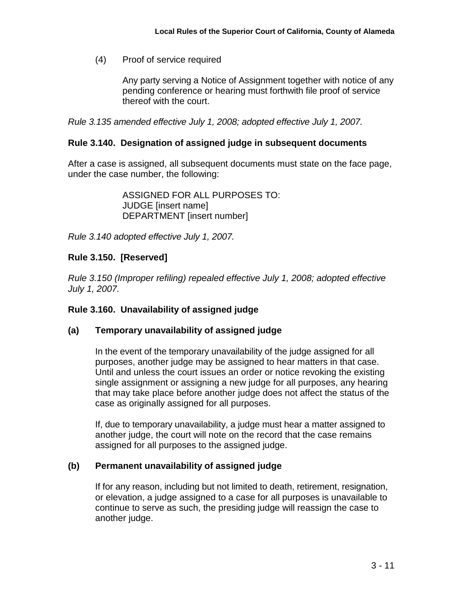(4) Proof of service required

Any party serving a Notice of Assignment together with notice of any pending conference or hearing must forthwith file proof of service thereof with the court.

*Rule 3.135 amended effective July 1, 2008; adopted effective July 1, 2007.*

#### **Rule 3.140. Designation of assigned judge in subsequent documents**

After a case is assigned, all subsequent documents must state on the face page, under the case number, the following:

> ASSIGNED FOR ALL PURPOSES TO: JUDGE [insert name] DEPARTMENT [insert number]

*Rule 3.140 adopted effective July 1, 2007.*

### **Rule 3.150. [Reserved]**

*Rule 3.150 (Improper refiling) repealed effective July 1, 2008; adopted effective July 1, 2007.*

#### **Rule 3.160. Unavailability of assigned judge**

#### **(a) Temporary unavailability of assigned judge**

In the event of the temporary unavailability of the judge assigned for all purposes, another judge may be assigned to hear matters in that case. Until and unless the court issues an order or notice revoking the existing single assignment or assigning a new judge for all purposes, any hearing that may take place before another judge does not affect the status of the case as originally assigned for all purposes.

If, due to temporary unavailability, a judge must hear a matter assigned to another judge, the court will note on the record that the case remains assigned for all purposes to the assigned judge.

#### **(b) Permanent unavailability of assigned judge**

If for any reason, including but not limited to death, retirement, resignation, or elevation, a judge assigned to a case for all purposes is unavailable to continue to serve as such, the presiding judge will reassign the case to another judge.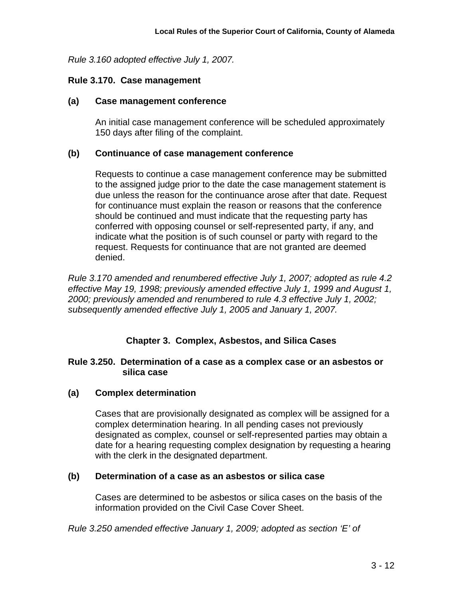*Rule 3.160 adopted effective July 1, 2007.*

#### **Rule 3.170. Case management**

#### **(a) Case management conference**

An initial case management conference will be scheduled approximately 150 days after filing of the complaint.

#### **(b) Continuance of case management conference**

Requests to continue a case management conference may be submitted to the assigned judge prior to the date the case management statement is due unless the reason for the continuance arose after that date. Request for continuance must explain the reason or reasons that the conference should be continued and must indicate that the requesting party has conferred with opposing counsel or self-represented party, if any, and indicate what the position is of such counsel or party with regard to the request. Requests for continuance that are not granted are deemed denied.

*Rule 3.170 amended and renumbered effective July 1, 2007; adopted as rule 4.2 effective May 19, 1998; previously amended effective July 1, 1999 and August 1, 2000; previously amended and renumbered to rule 4.3 effective July 1, 2002; subsequently amended effective July 1, 2005 and January 1, 2007.*

### **Chapter 3. Complex, Asbestos, and Silica Cases**

#### **Rule 3.250. Determination of a case as a complex case or an asbestos or silica case**

### **(a) Complex determination**

Cases that are provisionally designated as complex will be assigned for a complex determination hearing. In all pending cases not previously designated as complex, counsel or self-represented parties may obtain a date for a hearing requesting complex designation by requesting a hearing with the clerk in the designated department.

#### **(b) Determination of a case as an asbestos or silica case**

Cases are determined to be asbestos or silica cases on the basis of the information provided on the Civil Case Cover Sheet.

*Rule 3.250 amended effective January 1, 2009; adopted as section 'E' of*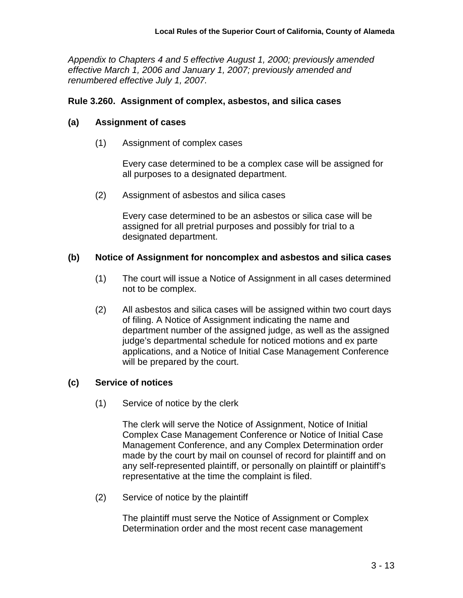*Appendix to Chapters 4 and 5 effective August 1, 2000; previously amended effective March 1, 2006 and January 1, 2007; previously amended and renumbered effective July 1, 2007.*

#### **Rule 3.260. Assignment of complex, asbestos, and silica cases**

#### **(a) Assignment of cases**

(1) Assignment of complex cases

Every case determined to be a complex case will be assigned for all purposes to a designated department.

(2) Assignment of asbestos and silica cases

Every case determined to be an asbestos or silica case will be assigned for all pretrial purposes and possibly for trial to a designated department.

#### **(b) Notice of Assignment for noncomplex and asbestos and silica cases**

- (1) The court will issue a Notice of Assignment in all cases determined not to be complex.
- (2) All asbestos and silica cases will be assigned within two court days of filing. A Notice of Assignment indicating the name and department number of the assigned judge, as well as the assigned judge's departmental schedule for noticed motions and ex parte applications, and a Notice of Initial Case Management Conference will be prepared by the court.

### **(c) Service of notices**

(1) Service of notice by the clerk

The clerk will serve the Notice of Assignment, Notice of Initial Complex Case Management Conference or Notice of Initial Case Management Conference, and any Complex Determination order made by the court by mail on counsel of record for plaintiff and on any self-represented plaintiff, or personally on plaintiff or plaintiff's representative at the time the complaint is filed.

(2) Service of notice by the plaintiff

The plaintiff must serve the Notice of Assignment or Complex Determination order and the most recent case management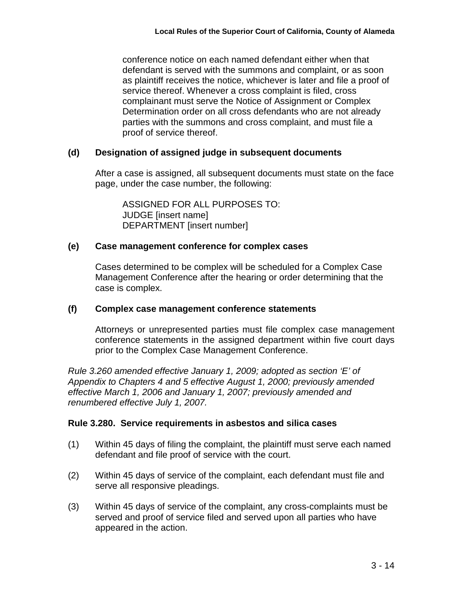conference notice on each named defendant either when that defendant is served with the summons and complaint, or as soon as plaintiff receives the notice, whichever is later and file a proof of service thereof. Whenever a cross complaint is filed, cross complainant must serve the Notice of Assignment or Complex Determination order on all cross defendants who are not already parties with the summons and cross complaint, and must file a proof of service thereof.

## **(d) Designation of assigned judge in subsequent documents**

After a case is assigned, all subsequent documents must state on the face page, under the case number, the following:

ASSIGNED FOR ALL PURPOSES TO: JUDGE [insert name] DEPARTMENT [insert number]

## **(e) Case management conference for complex cases**

Cases determined to be complex will be scheduled for a Complex Case Management Conference after the hearing or order determining that the case is complex.

### **(f) Complex case management conference statements**

Attorneys or unrepresented parties must file complex case management conference statements in the assigned department within five court days prior to the Complex Case Management Conference.

*Rule 3.260 amended effective January 1, 2009; adopted as section 'E' of Appendix to Chapters 4 and 5 effective August 1, 2000; previously amended effective March 1, 2006 and January 1, 2007; previously amended and renumbered effective July 1, 2007.*

### **Rule 3.280. Service requirements in asbestos and silica cases**

- (1) Within 45 days of filing the complaint, the plaintiff must serve each named defendant and file proof of service with the court.
- (2) Within 45 days of service of the complaint, each defendant must file and serve all responsive pleadings.
- (3) Within 45 days of service of the complaint, any cross-complaints must be served and proof of service filed and served upon all parties who have appeared in the action.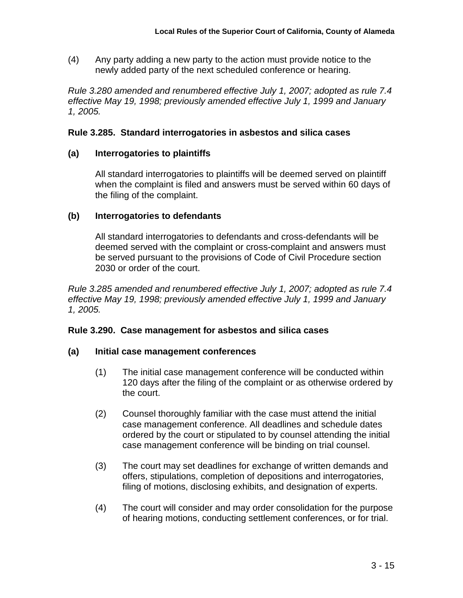(4) Any party adding a new party to the action must provide notice to the newly added party of the next scheduled conference or hearing.

*Rule 3.280 amended and renumbered effective July 1, 2007; adopted as rule 7.4 effective May 19, 1998; previously amended effective July 1, 1999 and January 1, 2005.*

#### **Rule 3.285. Standard interrogatories in asbestos and silica cases**

#### **(a) Interrogatories to plaintiffs**

All standard interrogatories to plaintiffs will be deemed served on plaintiff when the complaint is filed and answers must be served within 60 days of the filing of the complaint.

#### **(b) Interrogatories to defendants**

All standard interrogatories to defendants and cross-defendants will be deemed served with the complaint or cross-complaint and answers must be served pursuant to the provisions of Code of Civil Procedure section 2030 or order of the court.

*Rule 3.285 amended and renumbered effective July 1, 2007; adopted as rule 7.4 effective May 19, 1998; previously amended effective July 1, 1999 and January 1, 2005.*

#### **Rule 3.290. Case management for asbestos and silica cases**

#### **(a) Initial case management conferences**

- (1) The initial case management conference will be conducted within 120 days after the filing of the complaint or as otherwise ordered by the court.
- (2) Counsel thoroughly familiar with the case must attend the initial case management conference. All deadlines and schedule dates ordered by the court or stipulated to by counsel attending the initial case management conference will be binding on trial counsel.
- (3) The court may set deadlines for exchange of written demands and offers, stipulations, completion of depositions and interrogatories, filing of motions, disclosing exhibits, and designation of experts.
- (4) The court will consider and may order consolidation for the purpose of hearing motions, conducting settlement conferences, or for trial.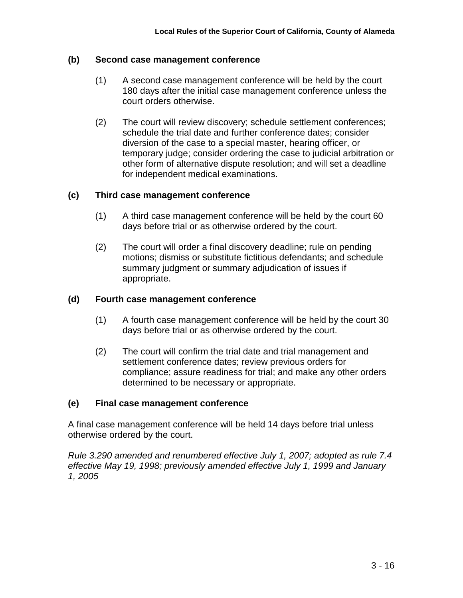### **(b) Second case management conference**

- (1) A second case management conference will be held by the court 180 days after the initial case management conference unless the court orders otherwise.
- (2) The court will review discovery; schedule settlement conferences; schedule the trial date and further conference dates; consider diversion of the case to a special master, hearing officer, or temporary judge; consider ordering the case to judicial arbitration or other form of alternative dispute resolution; and will set a deadline for independent medical examinations.

### **(c) Third case management conference**

- (1) A third case management conference will be held by the court 60 days before trial or as otherwise ordered by the court.
- (2) The court will order a final discovery deadline; rule on pending motions; dismiss or substitute fictitious defendants; and schedule summary judgment or summary adjudication of issues if appropriate.

#### **(d) Fourth case management conference**

- (1) A fourth case management conference will be held by the court 30 days before trial or as otherwise ordered by the court.
- (2) The court will confirm the trial date and trial management and settlement conference dates; review previous orders for compliance; assure readiness for trial; and make any other orders determined to be necessary or appropriate.

#### **(e) Final case management conference**

A final case management conference will be held 14 days before trial unless otherwise ordered by the court.

*Rule 3.290 amended and renumbered effective July 1, 2007; adopted as rule 7.4 effective May 19, 1998; previously amended effective July 1, 1999 and January 1, 2005*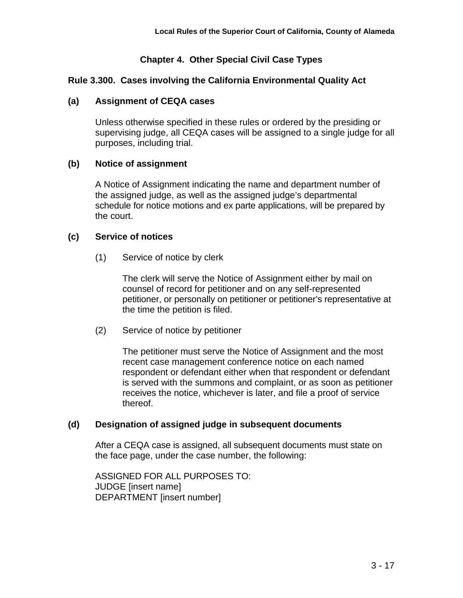# **Chapter 4. Other Special Civil Case Types**

## **Rule 3.300. Cases involving the California Environmental Quality Act**

### **(a) Assignment of CEQA cases**

Unless otherwise specified in these rules or ordered by the presiding or supervising judge, all CEQA cases will be assigned to a single judge for all purposes, including trial.

### **(b) Notice of assignment**

A Notice of Assignment indicating the name and department number of the assigned judge, as well as the assigned judge's departmental schedule for notice motions and ex parte applications, will be prepared by the court.

### **(c) Service of notices**

(1) Service of notice by clerk

The clerk will serve the Notice of Assignment either by mail on counsel of record for petitioner and on any self-represented petitioner, or personally on petitioner or petitioner's representative at the time the petition is filed.

(2) Service of notice by petitioner

The petitioner must serve the Notice of Assignment and the most recent case management conference notice on each named respondent or defendant either when that respondent or defendant is served with the summons and complaint, or as soon as petitioner receives the notice, whichever is later, and file a proof of service thereof.

### **(d) Designation of assigned judge in subsequent documents**

After a CEQA case is assigned, all subsequent documents must state on the face page, under the case number, the following:

ASSIGNED FOR ALL PURPOSES TO: JUDGE [insert name] DEPARTMENT [insert number]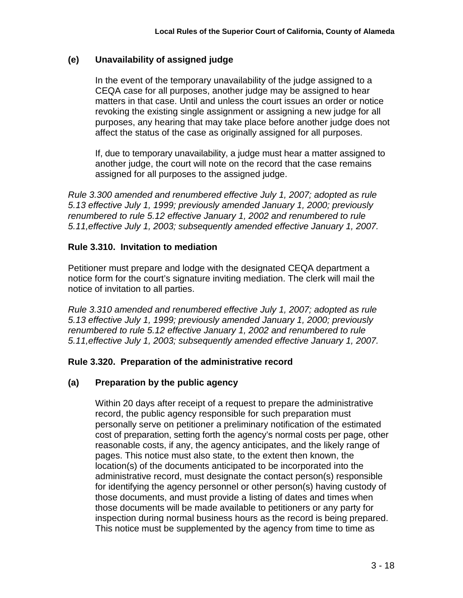## **(e) Unavailability of assigned judge**

In the event of the temporary unavailability of the judge assigned to a CEQA case for all purposes, another judge may be assigned to hear matters in that case. Until and unless the court issues an order or notice revoking the existing single assignment or assigning a new judge for all purposes, any hearing that may take place before another judge does not affect the status of the case as originally assigned for all purposes.

If, due to temporary unavailability, a judge must hear a matter assigned to another judge, the court will note on the record that the case remains assigned for all purposes to the assigned judge.

*Rule 3.300 amended and renumbered effective July 1, 2007; adopted as rule 5.13 effective July 1, 1999; previously amended January 1, 2000; previously renumbered to rule 5.12 effective January 1, 2002 and renumbered to rule 5.11,effective July 1, 2003; subsequently amended effective January 1, 2007.*

## **Rule 3.310. Invitation to mediation**

Petitioner must prepare and lodge with the designated CEQA department a notice form for the court's signature inviting mediation. The clerk will mail the notice of invitation to all parties.

*Rule 3.310 amended and renumbered effective July 1, 2007; adopted as rule 5.13 effective July 1, 1999; previously amended January 1, 2000; previously renumbered to rule 5.12 effective January 1, 2002 and renumbered to rule 5.11,effective July 1, 2003; subsequently amended effective January 1, 2007.*

### **Rule 3.320. Preparation of the administrative record**

# **(a) Preparation by the public agency**

Within 20 days after receipt of a request to prepare the administrative record, the public agency responsible for such preparation must personally serve on petitioner a preliminary notification of the estimated cost of preparation, setting forth the agency's normal costs per page, other reasonable costs, if any, the agency anticipates, and the likely range of pages. This notice must also state, to the extent then known, the location(s) of the documents anticipated to be incorporated into the administrative record, must designate the contact person(s) responsible for identifying the agency personnel or other person(s) having custody of those documents, and must provide a listing of dates and times when those documents will be made available to petitioners or any party for inspection during normal business hours as the record is being prepared. This notice must be supplemented by the agency from time to time as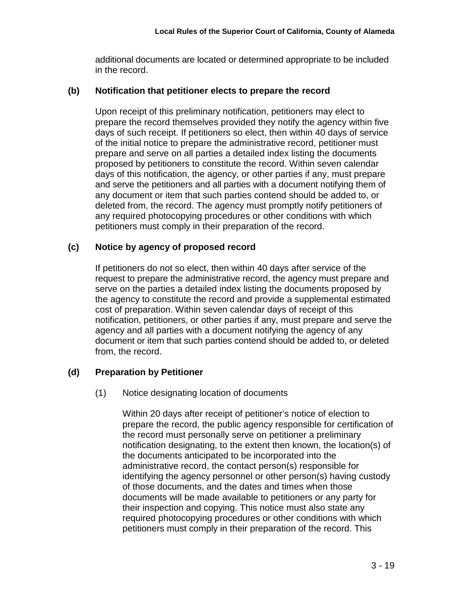additional documents are located or determined appropriate to be included in the record.

#### **(b) Notification that petitioner elects to prepare the record**

Upon receipt of this preliminary notification, petitioners may elect to prepare the record themselves provided they notify the agency within five days of such receipt. If petitioners so elect, then within 40 days of service of the initial notice to prepare the administrative record, petitioner must prepare and serve on all parties a detailed index listing the documents proposed by petitioners to constitute the record. Within seven calendar days of this notification, the agency, or other parties if any, must prepare and serve the petitioners and all parties with a document notifying them of any document or item that such parties contend should be added to, or deleted from, the record. The agency must promptly notify petitioners of any required photocopying procedures or other conditions with which petitioners must comply in their preparation of the record.

## **(c) Notice by agency of proposed record**

If petitioners do not so elect, then within 40 days after service of the request to prepare the administrative record, the agency must prepare and serve on the parties a detailed index listing the documents proposed by the agency to constitute the record and provide a supplemental estimated cost of preparation. Within seven calendar days of receipt of this notification, petitioners, or other parties if any, must prepare and serve the agency and all parties with a document notifying the agency of any document or item that such parties contend should be added to, or deleted from, the record.

# **(d) Preparation by Petitioner**

(1) Notice designating location of documents

Within 20 days after receipt of petitioner's notice of election to prepare the record, the public agency responsible for certification of the record must personally serve on petitioner a preliminary notification designating, to the extent then known, the location(s) of the documents anticipated to be incorporated into the administrative record, the contact person(s) responsible for identifying the agency personnel or other person(s) having custody of those documents, and the dates and times when those documents will be made available to petitioners or any party for their inspection and copying. This notice must also state any required photocopying procedures or other conditions with which petitioners must comply in their preparation of the record. This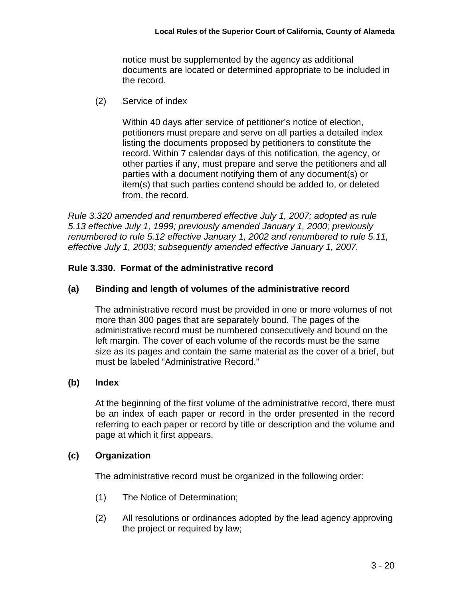notice must be supplemented by the agency as additional documents are located or determined appropriate to be included in the record.

(2) Service of index

Within 40 days after service of petitioner's notice of election, petitioners must prepare and serve on all parties a detailed index listing the documents proposed by petitioners to constitute the record. Within 7 calendar days of this notification, the agency, or other parties if any, must prepare and serve the petitioners and all parties with a document notifying them of any document(s) or item(s) that such parties contend should be added to, or deleted from, the record.

*Rule 3.320 amended and renumbered effective July 1, 2007; adopted as rule 5.13 effective July 1, 1999; previously amended January 1, 2000; previously renumbered to rule 5.12 effective January 1, 2002 and renumbered to rule 5.11, effective July 1, 2003; subsequently amended effective January 1, 2007.*

## **Rule 3.330. Format of the administrative record**

### **(a) Binding and length of volumes of the administrative record**

The administrative record must be provided in one or more volumes of not more than 300 pages that are separately bound. The pages of the administrative record must be numbered consecutively and bound on the left margin. The cover of each volume of the records must be the same size as its pages and contain the same material as the cover of a brief, but must be labeled "Administrative Record."

### **(b) Index**

At the beginning of the first volume of the administrative record, there must be an index of each paper or record in the order presented in the record referring to each paper or record by title or description and the volume and page at which it first appears.

### **(c) Organization**

The administrative record must be organized in the following order:

- (1) The Notice of Determination;
- (2) All resolutions or ordinances adopted by the lead agency approving the project or required by law;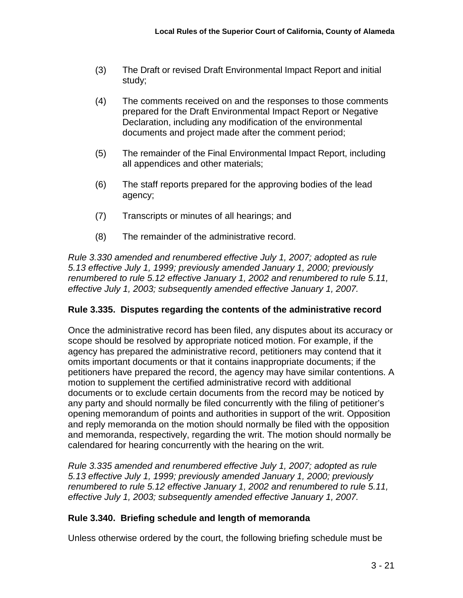- (3) The Draft or revised Draft Environmental Impact Report and initial study;
- (4) The comments received on and the responses to those comments prepared for the Draft Environmental Impact Report or Negative Declaration, including any modification of the environmental documents and project made after the comment period;
- (5) The remainder of the Final Environmental Impact Report, including all appendices and other materials;
- (6) The staff reports prepared for the approving bodies of the lead agency;
- (7) Transcripts or minutes of all hearings; and
- (8) The remainder of the administrative record.

*Rule 3.330 amended and renumbered effective July 1, 2007; adopted as rule 5.13 effective July 1, 1999; previously amended January 1, 2000; previously renumbered to rule 5.12 effective January 1, 2002 and renumbered to rule 5.11, effective July 1, 2003; subsequently amended effective January 1, 2007.*

# **Rule 3.335. Disputes regarding the contents of the administrative record**

Once the administrative record has been filed, any disputes about its accuracy or scope should be resolved by appropriate noticed motion. For example, if the agency has prepared the administrative record, petitioners may contend that it omits important documents or that it contains inappropriate documents; if the petitioners have prepared the record, the agency may have similar contentions. A motion to supplement the certified administrative record with additional documents or to exclude certain documents from the record may be noticed by any party and should normally be filed concurrently with the filing of petitioner's opening memorandum of points and authorities in support of the writ. Opposition and reply memoranda on the motion should normally be filed with the opposition and memoranda, respectively, regarding the writ. The motion should normally be calendared for hearing concurrently with the hearing on the writ.

*Rule 3.335 amended and renumbered effective July 1, 2007; adopted as rule 5.13 effective July 1, 1999; previously amended January 1, 2000; previously renumbered to rule 5.12 effective January 1, 2002 and renumbered to rule 5.11, effective July 1, 2003; subsequently amended effective January 1, 2007.*

# **Rule 3.340. Briefing schedule and length of memoranda**

Unless otherwise ordered by the court, the following briefing schedule must be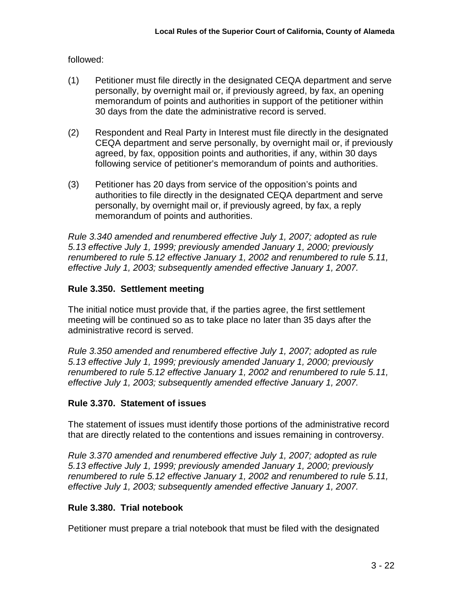followed:

- (1) Petitioner must file directly in the designated CEQA department and serve personally, by overnight mail or, if previously agreed, by fax, an opening memorandum of points and authorities in support of the petitioner within 30 days from the date the administrative record is served.
- (2) Respondent and Real Party in Interest must file directly in the designated CEQA department and serve personally, by overnight mail or, if previously agreed, by fax, opposition points and authorities, if any, within 30 days following service of petitioner's memorandum of points and authorities.
- (3) Petitioner has 20 days from service of the opposition's points and authorities to file directly in the designated CEQA department and serve personally, by overnight mail or, if previously agreed, by fax, a reply memorandum of points and authorities.

*Rule 3.340 amended and renumbered effective July 1, 2007; adopted as rule 5.13 effective July 1, 1999; previously amended January 1, 2000; previously renumbered to rule 5.12 effective January 1, 2002 and renumbered to rule 5.11, effective July 1, 2003; subsequently amended effective January 1, 2007.*

# **Rule 3.350. Settlement meeting**

The initial notice must provide that, if the parties agree, the first settlement meeting will be continued so as to take place no later than 35 days after the administrative record is served.

*Rule 3.350 amended and renumbered effective July 1, 2007; adopted as rule 5.13 effective July 1, 1999; previously amended January 1, 2000; previously renumbered to rule 5.12 effective January 1, 2002 and renumbered to rule 5.11, effective July 1, 2003; subsequently amended effective January 1, 2007.*

# **Rule 3.370. Statement of issues**

The statement of issues must identify those portions of the administrative record that are directly related to the contentions and issues remaining in controversy.

*Rule 3.370 amended and renumbered effective July 1, 2007; adopted as rule 5.13 effective July 1, 1999; previously amended January 1, 2000; previously renumbered to rule 5.12 effective January 1, 2002 and renumbered to rule 5.11, effective July 1, 2003; subsequently amended effective January 1, 2007.*

# **Rule 3.380. Trial notebook**

Petitioner must prepare a trial notebook that must be filed with the designated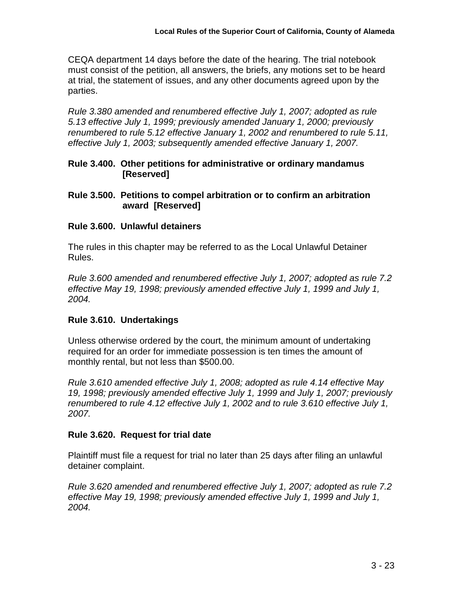CEQA department 14 days before the date of the hearing. The trial notebook must consist of the petition, all answers, the briefs, any motions set to be heard at trial, the statement of issues, and any other documents agreed upon by the parties.

*Rule 3.380 amended and renumbered effective July 1, 2007; adopted as rule 5.13 effective July 1, 1999; previously amended January 1, 2000; previously renumbered to rule 5.12 effective January 1, 2002 and renumbered to rule 5.11, effective July 1, 2003; subsequently amended effective January 1, 2007.*

**Rule 3.400. Other petitions for administrative or ordinary mandamus [Reserved]**

### **Rule 3.500. Petitions to compel arbitration or to confirm an arbitration award [Reserved]**

### **Rule 3.600. Unlawful detainers**

The rules in this chapter may be referred to as the Local Unlawful Detainer Rules.

*Rule 3.600 amended and renumbered effective July 1, 2007; adopted as rule 7.2 effective May 19, 1998; previously amended effective July 1, 1999 and July 1, 2004.*

# **Rule 3.610. Undertakings**

Unless otherwise ordered by the court, the minimum amount of undertaking required for an order for immediate possession is ten times the amount of monthly rental, but not less than \$500.00.

*Rule 3.610 amended effective July 1, 2008; adopted as rule 4.14 effective May 19, 1998; previously amended effective July 1, 1999 and July 1, 2007; previously renumbered to rule 4.12 effective July 1, 2002 and to rule 3.610 effective July 1, 2007.*

### **Rule 3.620. Request for trial date**

Plaintiff must file a request for trial no later than 25 days after filing an unlawful detainer complaint.

*Rule 3.620 amended and renumbered effective July 1, 2007; adopted as rule 7.2 effective May 19, 1998; previously amended effective July 1, 1999 and July 1, 2004.*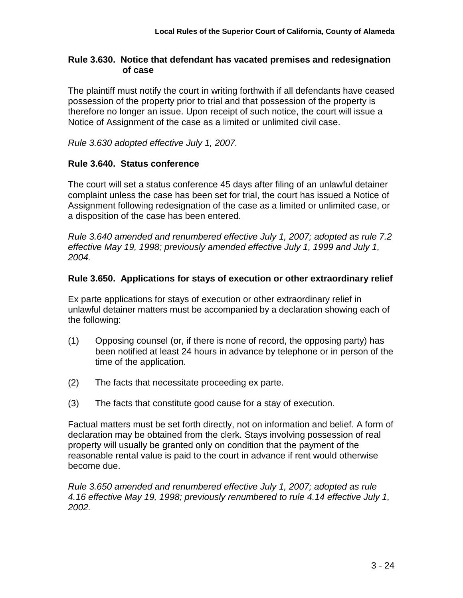### **Rule 3.630. Notice that defendant has vacated premises and redesignation of case**

The plaintiff must notify the court in writing forthwith if all defendants have ceased possession of the property prior to trial and that possession of the property is therefore no longer an issue. Upon receipt of such notice, the court will issue a Notice of Assignment of the case as a limited or unlimited civil case.

*Rule 3.630 adopted effective July 1, 2007.*

## **Rule 3.640. Status conference**

The court will set a status conference 45 days after filing of an unlawful detainer complaint unless the case has been set for trial, the court has issued a Notice of Assignment following redesignation of the case as a limited or unlimited case, or a disposition of the case has been entered.

*Rule 3.640 amended and renumbered effective July 1, 2007; adopted as rule 7.2 effective May 19, 1998; previously amended effective July 1, 1999 and July 1, 2004.*

## **Rule 3.650. Applications for stays of execution or other extraordinary relief**

Ex parte applications for stays of execution or other extraordinary relief in unlawful detainer matters must be accompanied by a declaration showing each of the following:

- (1) Opposing counsel (or, if there is none of record, the opposing party) has been notified at least 24 hours in advance by telephone or in person of the time of the application.
- (2) The facts that necessitate proceeding ex parte.
- (3) The facts that constitute good cause for a stay of execution.

Factual matters must be set forth directly, not on information and belief. A form of declaration may be obtained from the clerk. Stays involving possession of real property will usually be granted only on condition that the payment of the reasonable rental value is paid to the court in advance if rent would otherwise become due.

*Rule 3.650 amended and renumbered effective July 1, 2007; adopted as rule 4.16 effective May 19, 1998; previously renumbered to rule 4.14 effective July 1, 2002.*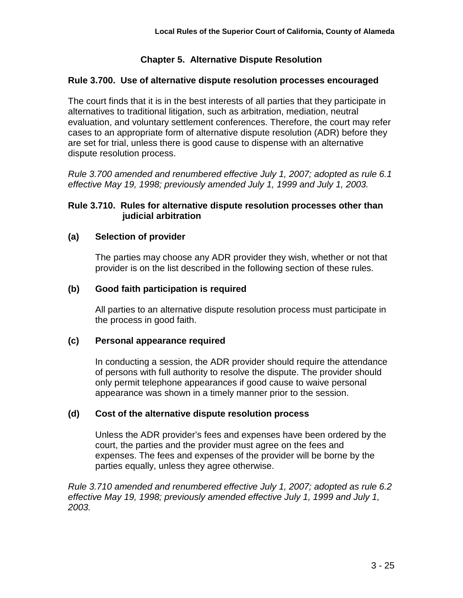# **Chapter 5. Alternative Dispute Resolution**

## **Rule 3.700. Use of alternative dispute resolution processes encouraged**

The court finds that it is in the best interests of all parties that they participate in alternatives to traditional litigation, such as arbitration, mediation, neutral evaluation, and voluntary settlement conferences. Therefore, the court may refer cases to an appropriate form of alternative dispute resolution (ADR) before they are set for trial, unless there is good cause to dispense with an alternative dispute resolution process.

*Rule 3.700 amended and renumbered effective July 1, 2007; adopted as rule 6.1 effective May 19, 1998; previously amended July 1, 1999 and July 1, 2003.*

## **Rule 3.710. Rules for alternative dispute resolution processes other than judicial arbitration**

## **(a) Selection of provider**

The parties may choose any ADR provider they wish, whether or not that provider is on the list described in the following section of these rules.

## **(b) Good faith participation is required**

All parties to an alternative dispute resolution process must participate in the process in good faith.

### **(c) Personal appearance required**

In conducting a session, the ADR provider should require the attendance of persons with full authority to resolve the dispute. The provider should only permit telephone appearances if good cause to waive personal appearance was shown in a timely manner prior to the session.

### **(d) Cost of the alternative dispute resolution process**

Unless the ADR provider's fees and expenses have been ordered by the court, the parties and the provider must agree on the fees and expenses. The fees and expenses of the provider will be borne by the parties equally, unless they agree otherwise.

*Rule 3.710 amended and renumbered effective July 1, 2007; adopted as rule 6.2 effective May 19, 1998; previously amended effective July 1, 1999 and July 1, 2003.*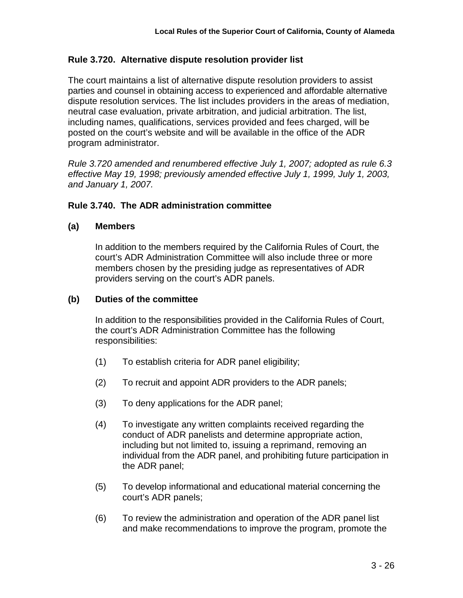### **Rule 3.720. Alternative dispute resolution provider list**

The court maintains a list of alternative dispute resolution providers to assist parties and counsel in obtaining access to experienced and affordable alternative dispute resolution services. The list includes providers in the areas of mediation, neutral case evaluation, private arbitration, and judicial arbitration. The list, including names, qualifications, services provided and fees charged, will be posted on the court's website and will be available in the office of the ADR program administrator.

*Rule 3.720 amended and renumbered effective July 1, 2007; adopted as rule 6.3 effective May 19, 1998; previously amended effective July 1, 1999, July 1, 2003, and January 1, 2007.*

### **Rule 3.740. The ADR administration committee**

#### **(a) Members**

In addition to the members required by the California Rules of Court, the court's ADR Administration Committee will also include three or more members chosen by the presiding judge as representatives of ADR providers serving on the court's ADR panels.

#### **(b) Duties of the committee**

In addition to the responsibilities provided in the California Rules of Court, the court's ADR Administration Committee has the following responsibilities:

- (1) To establish criteria for ADR panel eligibility;
- (2) To recruit and appoint ADR providers to the ADR panels;
- (3) To deny applications for the ADR panel;
- (4) To investigate any written complaints received regarding the conduct of ADR panelists and determine appropriate action, including but not limited to, issuing a reprimand, removing an individual from the ADR panel, and prohibiting future participation in the ADR panel;
- (5) To develop informational and educational material concerning the court's ADR panels;
- (6) To review the administration and operation of the ADR panel list and make recommendations to improve the program, promote the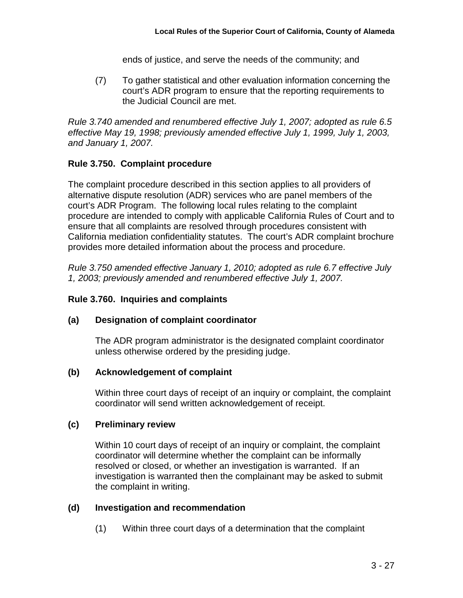ends of justice, and serve the needs of the community; and

(7) To gather statistical and other evaluation information concerning the court's ADR program to ensure that the reporting requirements to the Judicial Council are met.

*Rule 3.740 amended and renumbered effective July 1, 2007; adopted as rule 6.5 effective May 19, 1998; previously amended effective July 1, 1999, July 1, 2003, and January 1, 2007.*

## **Rule 3.750. Complaint procedure**

The complaint procedure described in this section applies to all providers of alternative dispute resolution (ADR) services who are panel members of the court's ADR Program. The following local rules relating to the complaint procedure are intended to comply with applicable California Rules of Court and to ensure that all complaints are resolved through procedures consistent with California mediation confidentiality statutes. The court's ADR complaint brochure provides more detailed information about the process and procedure.

*Rule 3.750 amended effective January 1, 2010; adopted as rule 6.7 effective July 1, 2003; previously amended and renumbered effective July 1, 2007.*

### **Rule 3.760. Inquiries and complaints**

### **(a) Designation of complaint coordinator**

The ADR program administrator is the designated complaint coordinator unless otherwise ordered by the presiding judge.

### **(b) Acknowledgement of complaint**

Within three court days of receipt of an inquiry or complaint, the complaint coordinator will send written acknowledgement of receipt.

### **(c) Preliminary review**

Within 10 court days of receipt of an inquiry or complaint, the complaint coordinator will determine whether the complaint can be informally resolved or closed, or whether an investigation is warranted. If an investigation is warranted then the complainant may be asked to submit the complaint in writing.

### **(d) Investigation and recommendation**

(1) Within three court days of a determination that the complaint